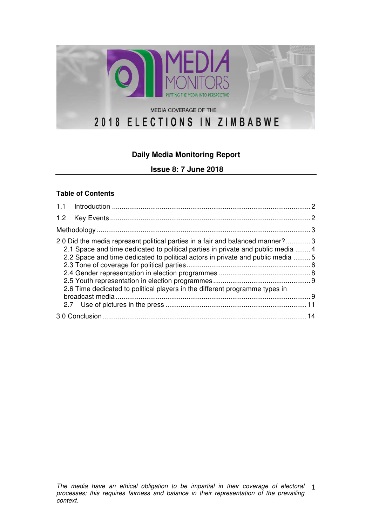

# **Daily Media Monitoring Report**

**Issue 8: 7 June 2018**

#### **Table of Contents**

| 2.0 Did the media represent political parties in a fair and balanced manner?3<br>2.1 Space and time dedicated to political parties in private and public media  4<br>2.2 Space and time dedicated to political actors in private and public media 5<br>2.6 Time dedicated to political players in the different programme types in |  |  |  |  |
|------------------------------------------------------------------------------------------------------------------------------------------------------------------------------------------------------------------------------------------------------------------------------------------------------------------------------------|--|--|--|--|
|                                                                                                                                                                                                                                                                                                                                    |  |  |  |  |
|                                                                                                                                                                                                                                                                                                                                    |  |  |  |  |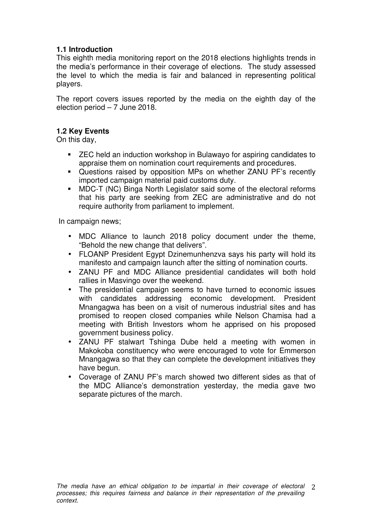## **1.1 Introduction**

This eighth media monitoring report on the 2018 elections highlights trends in the media's performance in their coverage of elections. The study assessed the level to which the media is fair and balanced in representing political players.

The report covers issues reported by the media on the eighth day of the election period – 7 June 2018.

## **1.2 Key Events**

On this day,

- ZEC held an induction workshop in Bulawayo for aspiring candidates to appraise them on nomination court requirements and procedures.
- § Questions raised by opposition MPs on whether ZANU PF's recently imported campaign material paid customs duty.
- MDC-T (NC) Binga North Legislator said some of the electoral reforms that his party are seeking from ZEC are administrative and do not require authority from parliament to implement.

In campaign news;

- MDC Alliance to launch 2018 policy document under the theme, "Behold the new change that delivers".
- FLOANP President Egypt Dzinemunhenzva says his party will hold its manifesto and campaign launch after the sitting of nomination courts.
- ZANU PF and MDC Alliance presidential candidates will both hold rallies in Masvingo over the weekend.
- The presidential campaign seems to have turned to economic issues with candidates addressing economic development. President Mnangagwa has been on a visit of numerous industrial sites and has promised to reopen closed companies while Nelson Chamisa had a meeting with British Investors whom he apprised on his proposed government business policy.
- ZANU PF stalwart Tshinga Dube held a meeting with women in Makokoba constituency who were encouraged to vote for Emmerson Mnangagwa so that they can complete the development initiatives they have begun.
- Coverage of ZANU PF's march showed two different sides as that of the MDC Alliance's demonstration yesterday, the media gave two separate pictures of the march.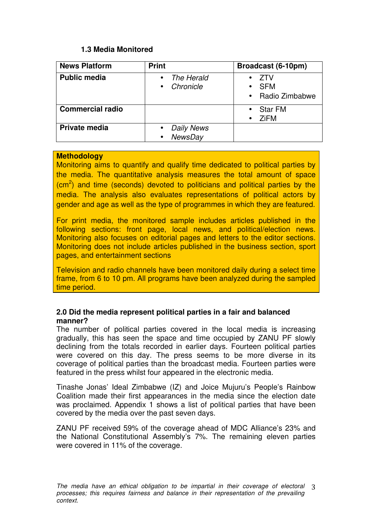## **1.3 Media Monitored**

| <b>News Platform</b>    | <b>Print</b>                                      | Broadcast (6-10pm)                           |
|-------------------------|---------------------------------------------------|----------------------------------------------|
| <b>Public media</b>     | The Herald<br>$\bullet$<br>Chronicle<br>$\bullet$ | <b>ZTV</b><br><b>SFM</b><br>• Radio Zimbabwe |
| <b>Commercial radio</b> |                                                   | <b>Star FM</b><br><b>ZiFM</b>                |
| Private media           | <b>Daily News</b><br><b>NewsDay</b><br>$\bullet$  |                                              |

#### **Methodology**

Monitoring aims to quantify and qualify time dedicated to political parties by the media. The quantitative analysis measures the total amount of space  $\rm (cm^2)$  and time (seconds) devoted to politicians and political parties by the media. The analysis also evaluates representations of political actors by gender and age as well as the type of programmes in which they are featured.

For print media, the monitored sample includes articles published in the following sections: front page, local news, and political/election news. Monitoring also focuses on editorial pages and letters to the editor sections. Monitoring does not include articles published in the business section, sport pages, and entertainment sections

Television and radio channels have been monitored daily during a select time frame, from 6 to 10 pm. All programs have been analyzed during the sampled time period.

#### **2.0 Did the media represent political parties in a fair and balanced manner?**

The number of political parties covered in the local media is increasing gradually, this has seen the space and time occupied by ZANU PF slowly declining from the totals recorded in earlier days. Fourteen political parties were covered on this day. The press seems to be more diverse in its coverage of political parties than the broadcast media. Fourteen parties were featured in the press whilst four appeared in the electronic media.

Tinashe Jonas' Ideal Zimbabwe (IZ) and Joice Mujuru's People's Rainbow Coalition made their first appearances in the media since the election date was proclaimed. Appendix 1 shows a list of political parties that have been covered by the media over the past seven days.

ZANU PF received 59% of the coverage ahead of MDC Alliance's 23% and the National Constitutional Assembly's 7%. The remaining eleven parties were covered in 11% of the coverage.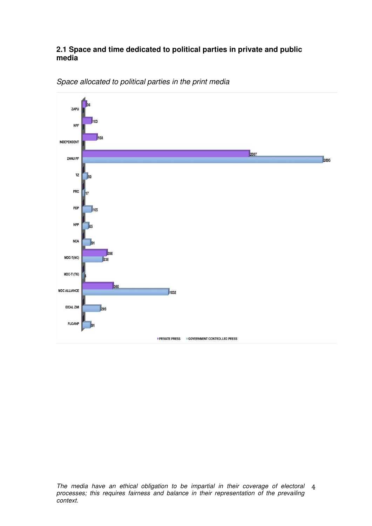#### **2.1 Space and time dedicated to political parties in private and public media**



Space allocated to political parties in the print media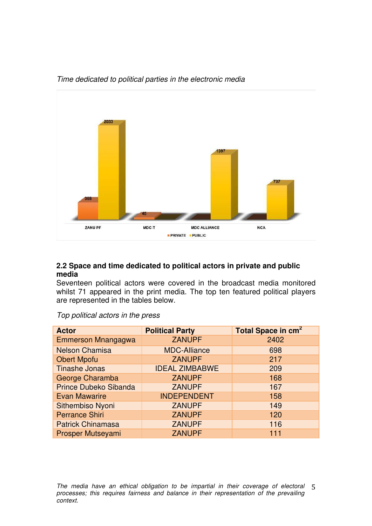

#### Time dedicated to political parties in the electronic media

#### **2.2 Space and time dedicated to political actors in private and public media**

Seventeen political actors were covered in the broadcast media monitored whilst 71 appeared in the print media. The top ten featured political players are represented in the tables below.

| <b>Actor</b>                 | <b>Political Party</b> | Total Space in cm <sup>2</sup> |
|------------------------------|------------------------|--------------------------------|
| Emmerson Mnangagwa           | <b>ZANUPF</b>          | 2402                           |
| <b>Nelson Chamisa</b>        | <b>MDC-Alliance</b>    | 698                            |
| <b>Obert Mpofu</b>           | <b>ZANUPF</b>          | 217                            |
| <b>Tinashe Jonas</b>         | <b>IDEAL ZIMBABWE</b>  | 209                            |
| George Charamba              | <b>ZANUPF</b>          | 168                            |
| <b>Prince Dubeko Sibanda</b> | <b>ZANUPF</b>          | 167                            |
| <b>Evan Mawarire</b>         | <b>INDEPENDENT</b>     | 158                            |
| Sithembiso Nyoni             | <b>ZANUPF</b>          | 149                            |
| <b>Perrance Shiri</b>        | <b>ZANUPF</b>          | 120                            |
| <b>Patrick Chinamasa</b>     | <b>ZANUPF</b>          | 116                            |
| Prosper Mutseyami            | <b>ZANUPF</b>          | 111                            |

Top political actors in the press

The media have an ethical obligation to be impartial in their coverage of electoral 5 
 processes; this requires fairness and balance in their representation of the prevailing context.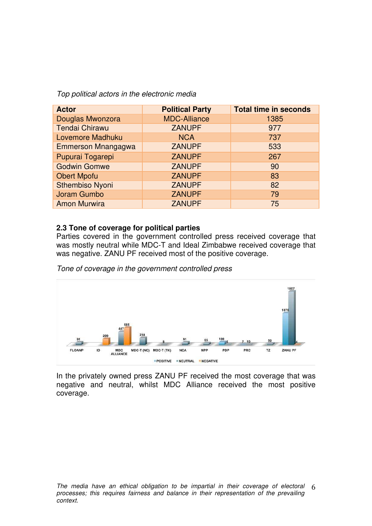Top political actors in the electronic media

| <b>Actor</b>              | <b>Political Party</b> | <b>Total time in seconds</b> |
|---------------------------|------------------------|------------------------------|
| Douglas Mwonzora          | <b>MDC-Alliance</b>    | 1385                         |
| <b>Tendai Chirawu</b>     | <b>ZANUPF</b>          | 977                          |
| Lovemore Madhuku          | <b>NCA</b>             | 737                          |
| <b>Emmerson Mnangagwa</b> | <b>ZANUPF</b>          | 533                          |
| Pupurai Togarepi          | <b>ZANUPF</b>          | 267                          |
| <b>Godwin Gomwe</b>       | <b>ZANUPF</b>          | 90                           |
| <b>Obert Mpofu</b>        | <b>ZANUPF</b>          | 83                           |
| <b>Sthembiso Nyoni</b>    | <b>ZANUPF</b>          | 82                           |
| Joram Gumbo               | <b>ZANUPF</b>          | 79                           |
| <b>Amon Murwira</b>       | <b>ZANUPF</b>          | 75                           |

#### **2.3 Tone of coverage for political parties**

Parties covered in the government controlled press received coverage that was mostly neutral while MDC-T and Ideal Zimbabwe received coverage that was negative. ZANU PF received most of the positive coverage.

Tone of coverage in the government controlled press



In the privately owned press ZANU PF received the most coverage that was negative and neutral, whilst MDC Alliance received the most positive coverage.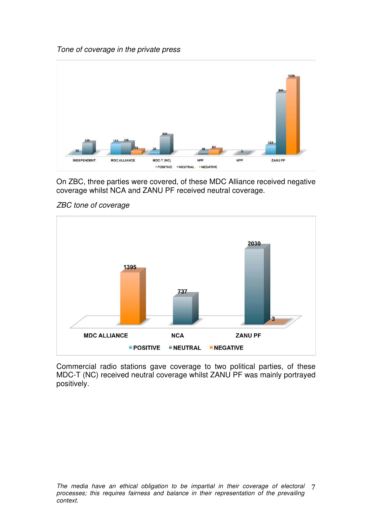



On ZBC, three parties were covered, of these MDC Alliance received negative coverage whilst NCA and ZANU PF received neutral coverage.



ZBC tone of coverage

Commercial radio stations gave coverage to two political parties, of these MDC-T (NC) received neutral coverage whilst ZANU PF was mainly portrayed positively.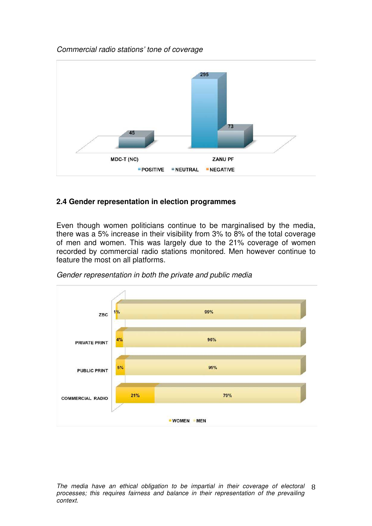## Commercial radio stations' tone of coverage



## **2.4 Gender representation in election programmes**

Even though women politicians continue to be marginalised by the media, there was a 5% increase in their visibility from 3% to 8% of the total coverage of men and women. This was largely due to the 21% coverage of women recorded by commercial radio stations monitored. Men however continue to feature the most on all platforms.



Gender representation in both the private and public media

The media have an ethical obligation to be impartial in their coverage of electoral 8 processes; this requires fairness and balance in their representation of the prevailing context.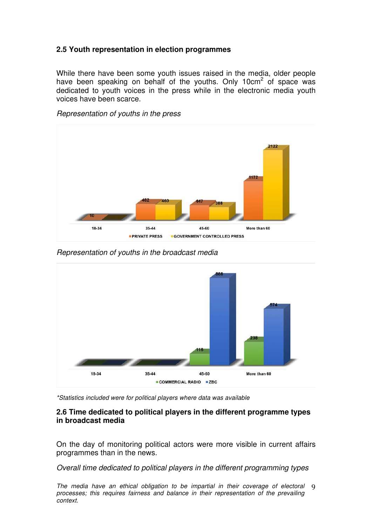## **2.5 Youth representation in election programmes**

While there have been some youth issues raised in the media, older people have been speaking on behalf of the youths. Only 10cm<sup>2</sup> of space was dedicated to youth voices in the press while in the electronic media youth voices have been scarce.





Representation of youths in the broadcast media



\*Statistics included were for political players where data was available

#### **2.6 Time dedicated to political players in the different programme types in broadcast media**

On the day of monitoring political actors were more visible in current affairs programmes than in the news.

Overall time dedicated to political players in the different programming types

The media have an ethical obligation to be impartial in their coverage of electoral 9 processes; this requires fairness and balance in their representation of the prevailing context.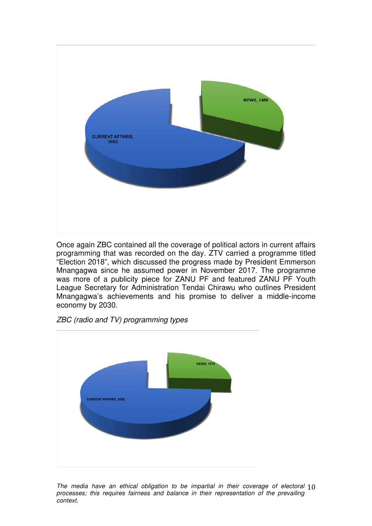

Once again ZBC contained all the coverage of political actors in current affairs programming that was recorded on the day. ZTV carried a programme titled "Election 2018", which discussed the progress made by President Emmerson Mnangagwa since he assumed power in November 2017. The programme was more of a publicity piece for ZANU PF and featured ZANU PF Youth League Secretary for Administration Tendai Chirawu who outlines President Mnangagwa's achievements and his promise to deliver a middle-income economy by 2030.





The media have an ethical obligation to be impartial in their coverage of electoral  $10$ processes; this requires fairness and balance in their representation of the prevailing context.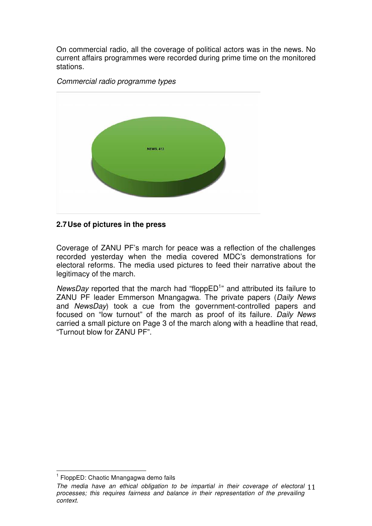On commercial radio, all the coverage of political actors was in the news. No current affairs programmes were recorded during prime time on the monitored stations.





## **2.7 Use of pictures in the press**

Coverage of ZANU PF's march for peace was a reflection of the challenges recorded yesterday when the media covered MDC's demonstrations for electoral reforms. The media used pictures to feed their narrative about the legitimacy of the march.

NewsDay reported that the march had "flopp $ED<sup>1</sup>$ " and attributed its failure to ZANU PF leader Emmerson Mnangagwa. The private papers (Daily News and NewsDay) took a cue from the government-controlled papers and focused on "low turnout" of the march as proof of its failure. Daily News carried a small picture on Page 3 of the march along with a headline that read, "Turnout blow for ZANU PF".

<sup>&</sup>lt;sup>1</sup> FloppED: Chaotic Mnangagwa demo fails

The media have an ethical obligation to be impartial in their coverage of electoral 11 processes; this requires fairness and balance in their representation of the prevailing context.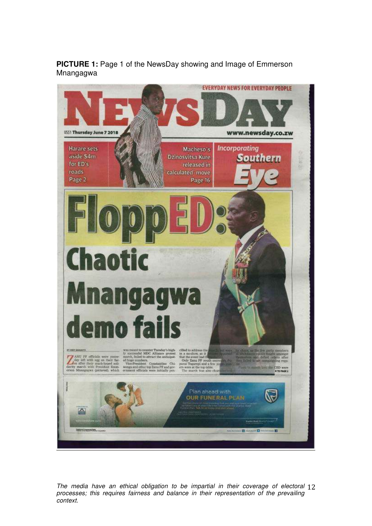**PICTURE 1:** Page 1 of the NewsDay showing and Image of Emmerson Mnangagwa



The media have an ethical obligation to be impartial in their coverage of electoral 12 processes; this requires fairness and balance in their representation of the prevailing context.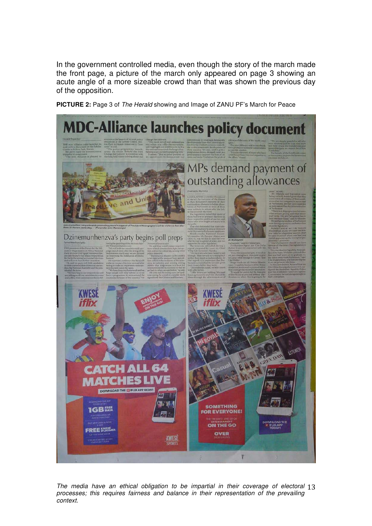In the government controlled media, even though the story of the march made the front page, a picture of the march only appeared on page 3 showing an acute angle of a more sizeable crowd than that was shown the previous day of the opposition.

**PICTURE 2:** Page 3 of The Herald showing and Image of ZANU PF's March for Peace



The media have an ethical obligation to be impartial in their coverage of electoral 13 processes; this requires fairness and balance in their representation of the prevailing context.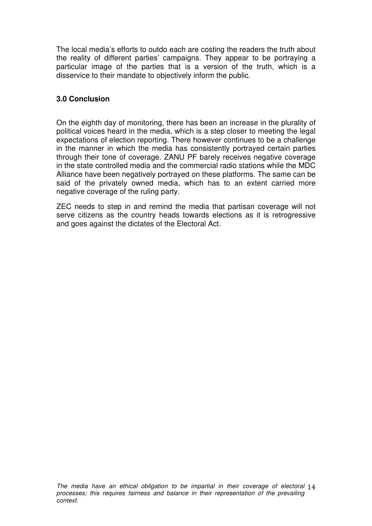The local media's efforts to outdo each are costing the readers the truth about the reality of different parties' campaigns. They appear to be portraying a particular image of the parties that is a version of the truth, which is a disservice to their mandate to objectively inform the public.

## **3.0 Conclusion**

On the eighth day of monitoring, there has been an increase in the plurality of political voices heard in the media, which is a step closer to meeting the legal expectations of election reporting. There however continues to be a challenge in the manner in which the media has consistently portrayed certain parties through their tone of coverage. ZANU PF barely receives negative coverage in the state controlled media and the commercial radio stations while the MDC Alliance have been negatively portrayed on these platforms. The same can be said of the privately owned media, which has to an extent carried more negative coverage of the ruling party.

ZEC needs to step in and remind the media that partisan coverage will not serve citizens as the country heads towards elections as it is retrogressive and goes against the dictates of the Electoral Act.